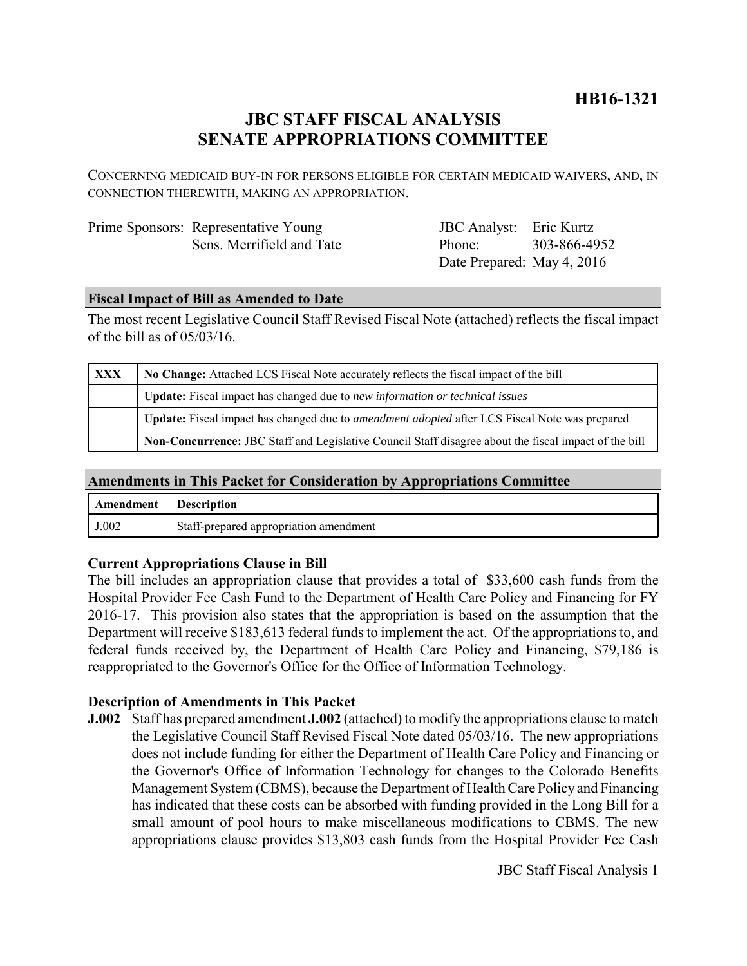# **HB16-1321**

# **JBC STAFF FISCAL ANALYSIS SENATE APPROPRIATIONS COMMITTEE**

CONCERNING MEDICAID BUY-IN FOR PERSONS ELIGIBLE FOR CERTAIN MEDICAID WAIVERS, AND, IN CONNECTION THEREWITH, MAKING AN APPROPRIATION.

| Prime Sponsors: Representative Young |
|--------------------------------------|
| Sens. Merrifield and Tate            |

JBC Analyst: Eric Kurtz Phone: Date Prepared: May 4, 2016 303-866-4952

#### **Fiscal Impact of Bill as Amended to Date**

The most recent Legislative Council Staff Revised Fiscal Note (attached) reflects the fiscal impact of the bill as of 05/03/16.

| XXX | No Change: Attached LCS Fiscal Note accurately reflects the fiscal impact of the bill                       |  |
|-----|-------------------------------------------------------------------------------------------------------------|--|
|     | <b>Update:</b> Fiscal impact has changed due to new information or technical issues                         |  |
|     | <b>Update:</b> Fiscal impact has changed due to <i>amendment adopted</i> after LCS Fiscal Note was prepared |  |
|     | Non-Concurrence: JBC Staff and Legislative Council Staff disagree about the fiscal impact of the bill       |  |

#### **Amendments in This Packet for Consideration by Appropriations Committee**

| <b>Amendment</b> Description |                                        |
|------------------------------|----------------------------------------|
| J.002                        | Staff-prepared appropriation amendment |

## **Current Appropriations Clause in Bill**

The bill includes an appropriation clause that provides a total of \$33,600 cash funds from the Hospital Provider Fee Cash Fund to the Department of Health Care Policy and Financing for FY 2016-17. This provision also states that the appropriation is based on the assumption that the Department will receive \$183,613 federal funds to implement the act. Of the appropriations to, and federal funds received by, the Department of Health Care Policy and Financing, \$79,186 is reappropriated to the Governor's Office for the Office of Information Technology.

#### **Description of Amendments in This Packet**

**J.002** Staff has prepared amendment **J.002** (attached) to modify the appropriations clause to match the Legislative Council Staff Revised Fiscal Note dated 05/03/16. The new appropriations does not include funding for either the Department of Health Care Policy and Financing or the Governor's Office of Information Technology for changes to the Colorado Benefits Management System (CBMS), because the Department of Health Care Policy and Financing has indicated that these costs can be absorbed with funding provided in the Long Bill for a small amount of pool hours to make miscellaneous modifications to CBMS. The new appropriations clause provides \$13,803 cash funds from the Hospital Provider Fee Cash

JBC Staff Fiscal Analysis 1